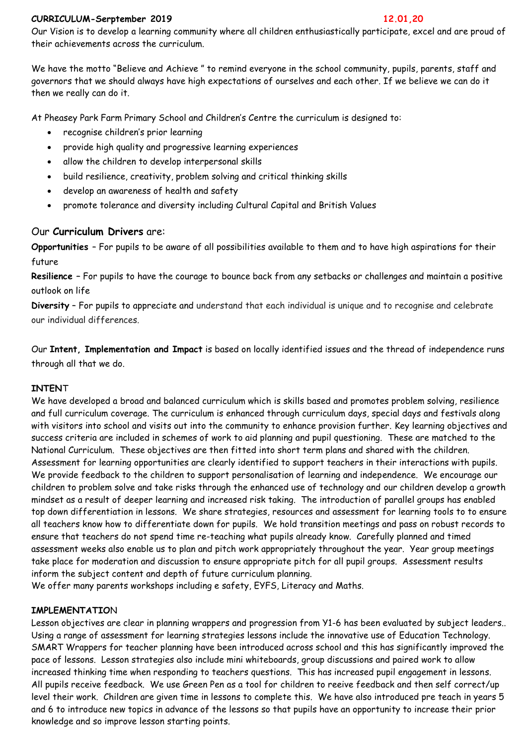#### **CURRICULUM-Serptember 2019 12.01,20**

Our Vision is to develop a learning community where all children enthusiastically participate, excel and are proud of their achievements across the curriculum.

We have the motto "Believe and Achieve " to remind everyone in the school community, pupils, parents, staff and governors that we should always have high expectations of ourselves and each other. If we believe we can do it then we really can do it.

At Pheasey Park Farm Primary School and Children's Centre the curriculum is designed to:

- recognise children's prior learning
- provide high quality and progressive learning experiences
- allow the children to develop interpersonal skills
- build resilience, creativity, problem solving and critical thinking skills
- develop an awareness of health and safety
- promote tolerance and diversity including Cultural Capital and British Values

# Our **Curriculum Drivers** are:

**Opportunities** – For pupils to be aware of all possibilities available to them and to have high aspirations for their future

**Resilience –** For pupils to have the courage to bounce back from any setbacks or challenges and maintain a positive outlook on life

**Diversity** – For pupils to appreciate and understand that each individual is unique and to recognise and celebrate our individual differences.

Our **Intent, Implementation and Impact** is based on locally identified issues and the thread of independence runs through all that we do.

## **INTEN**T

We have developed a broad and balanced curriculum which is skills based and promotes problem solving, resilience and full curriculum coverage. The curriculum is enhanced through curriculum days, special days and festivals along with visitors into school and visits out into the community to enhance provision further. Key learning objectives and success criteria are included in schemes of work to aid planning and pupil questioning. These are matched to the National Curriculum. These objectives are then fitted into short term plans and shared with the children. Assessment for learning opportunities are clearly identified to support teachers in their interactions with pupils. We provide feedback to the children to support personalisation of learning and independence. We encourage our children to problem solve and take risks through the enhanced use of technology and our children develop a growth mindset as a result of deeper learning and increased risk taking. The introduction of parallel groups has enabled top down differentiation in lessons. We share strategies, resources and assessment for learning tools to to ensure all teachers know how to differentiate down for pupils. We hold transition meetings and pass on robust records to ensure that teachers do not spend time re-teaching what pupils already know. Carefully planned and timed assessment weeks also enable us to plan and pitch work appropriately throughout the year. Year group meetings take place for moderation and discussion to ensure appropriate pitch for all pupil groups. Assessment results inform the subject content and depth of future curriculum planning.

We offer many parents workshops including e safety, EYFS, Literacy and Maths.

## **IMPLEMENTATIO**N

Lesson objectives are clear in planning wrappers and progression from Y1-6 has been evaluated by subject leaders.. Using a range of assessment for learning strategies lessons include the innovative use of Education Technology. SMART Wrappers for teacher planning have been introduced across school and this has significantly improved the pace of lessons. Lesson strategies also include mini whiteboards, group discussions and paired work to allow increased thinking time when responding to teachers questions. This has increased pupil engagement in lessons. All pupils receive feedback. We use Green Pen as a tool for children to reeive feedback and then self correct/up level their work. Children are given time in lessons to complete this. We have also introduced pre teach in years 5 and 6 to introduce new topics in advance of the lessons so that pupils have an opportunity to increase their prior knowledge and so improve lesson starting points.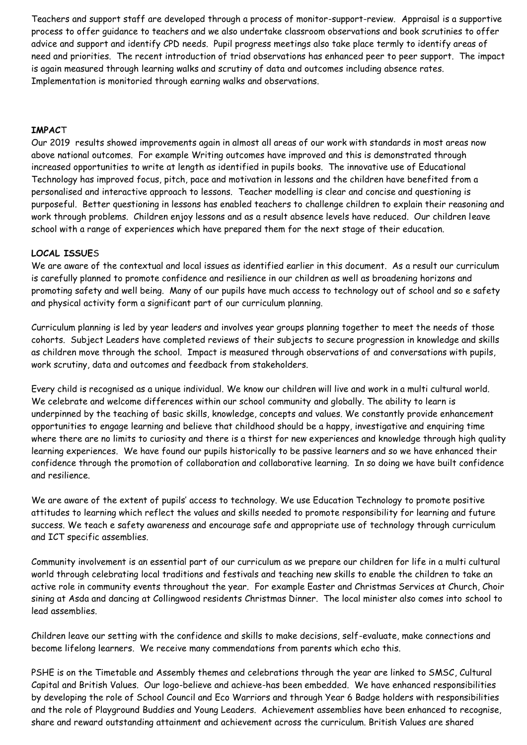Teachers and support staff are developed through a process of monitor-support-review. Appraisal is a supportive process to offer guidance to teachers and we also undertake classroom observations and book scrutinies to offer advice and support and identify CPD needs. Pupil progress meetings also take place termly to identify areas of need and priorities. The recent introduction of triad observations has enhanced peer to peer support. The impact is again measured through learning walks and scrutiny of data and outcomes including absence rates. Implementation is monitoried through earning walks and observations.

## **IMPAC**T

Our 2019 results showed improvements again in almost all areas of our work with standards in most areas now above national outcomes. For example Writing outcomes have improved and this is demonstrated through increased opportunities to write at length as identified in pupils books. The innovative use of Educational Technology has improved focus, pitch, pace and motivation in lessons and the children have benefited from a personalised and interactive approach to lessons. Teacher modelling is clear and concise and questioning is purposeful. Better questioning in lessons has enabled teachers to challenge children to explain their reasoning and work through problems. Children enjoy lessons and as a result absence levels have reduced. Our children leave school with a range of experiences which have prepared them for the next stage of their education.

# **LOCAL ISSUE**S

We are aware of the contextual and local issues as identified earlier in this document. As a result our curriculum is carefully planned to promote confidence and resilience in our children as well as broadening horizons and promoting safety and well being. Many of our pupils have much access to technology out of school and so e safety and physical activity form a significant part of our curriculum planning.

Curriculum planning is led by year leaders and involves year groups planning together to meet the needs of those cohorts. Subject Leaders have completed reviews of their subjects to secure progression in knowledge and skills as children move through the school. Impact is measured through observations of and conversations with pupils, work scrutiny, data and outcomes and feedback from stakeholders.

Every child is recognised as a unique individual. We know our children will live and work in a multi cultural world. We celebrate and welcome differences within our school community and globally. The ability to learn is underpinned by the teaching of basic skills, knowledge, concepts and values. We constantly provide enhancement opportunities to engage learning and believe that childhood should be a happy, investigative and enquiring time where there are no limits to curiosity and there is a thirst for new experiences and knowledge through high quality learning experiences. We have found our pupils historically to be passive learners and so we have enhanced their confidence through the promotion of collaboration and collaborative learning. In so doing we have built confidence and resilience.

We are aware of the extent of pupils' access to technology. We use Education Technology to promote positive attitudes to learning which reflect the values and skills needed to promote responsibility for learning and future success. We teach e safety awareness and encourage safe and appropriate use of technology through curriculum and ICT specific assemblies.

Community involvement is an essential part of our curriculum as we prepare our children for life in a multi cultural world through celebrating local traditions and festivals and teaching new skills to enable the children to take an active role in community events throughout the year. For example Easter and Christmas Services at Church, Choir sining at Asda and dancing at Collingwood residents Christmas Dinner. The local minister also comes into school to lead assemblies.

Children leave our setting with the confidence and skills to make decisions, self-evaluate, make connections and become lifelong learners. We receive many commendations from parents which echo this.

PSHE is on the Timetable and Assembly themes and celebrations through the year are linked to SMSC, Cultural Capital and British Values. Our logo-believe and achieve-has been embedded. We have enhanced responsibilities by developing the role of School Council and Eco Warriors and through Year 6 Badge holders with responsibilities and the role of Playground Buddies and Young Leaders. Achievement assemblies have been enhanced to recognise, share and reward outstanding attainment and achievement across the curriculum. British Values are shared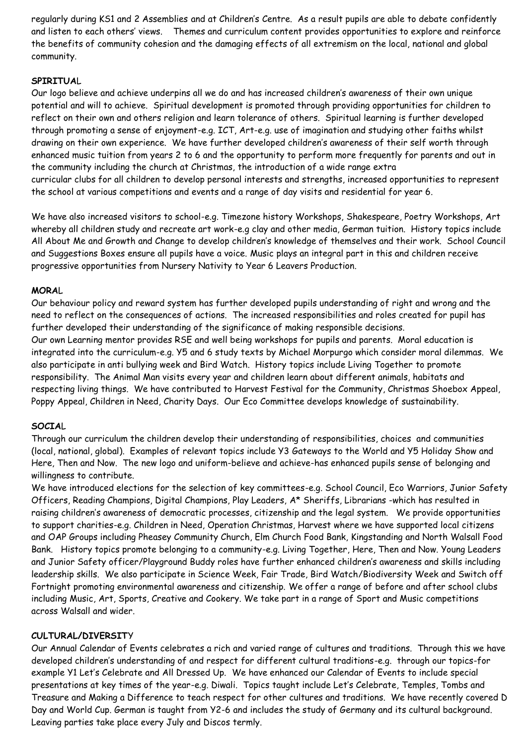regularly during KS1 and 2 Assemblies and at Children's Centre. As a result pupils are able to debate confidently and listen to each others' views. Themes and curriculum content provides opportunities to explore and reinforce the benefits of community cohesion and the damaging effects of all extremism on the local, national and global community.

# **SPIRITUA**L

Our logo believe and achieve underpins all we do and has increased children's awareness of their own unique potential and will to achieve. Spiritual development is promoted through providing opportunities for children to reflect on their own and others religion and learn tolerance of others. Spiritual learning is further developed through promoting a sense of enjoyment-e.g. ICT, Art-e.g. use of imagination and studying other faiths whilst drawing on their own experience. We have further developed children's awareness of their self worth through enhanced music tuition from years 2 to 6 and the opportunity to perform more frequently for parents and out in the community including the church at Christmas, the introduction of a wide range extra curricular clubs for all children to develop personal interests and strengths, increased opportunities to represent the school at various competitions and events and a range of day visits and residential for year 6.

We have also increased visitors to school-e.g. Timezone history Workshops, Shakespeare, Poetry Workshops, Art whereby all children study and recreate art work-e.g clay and other media, German tuition. History topics include All About Me and Growth and Change to develop children's knowledge of themselves and their work. School Council and Suggestions Boxes ensure all pupils have a voice. Music plays an integral part in this and children receive progressive opportunities from Nursery Nativity to Year 6 Leavers Production.

## **MORA**L

Our behaviour policy and reward system has further developed pupils understanding of right and wrong and the need to reflect on the consequences of actions. The increased responsibilities and roles created for pupil has further developed their understanding of the significance of making responsible decisions.

Our own Learning mentor provides RSE and well being workshops for pupils and parents. Moral education is integrated into the curriculum-e.g. Y5 and 6 study texts by Michael Morpurgo which consider moral dilemmas. We also participate in anti bullying week and Bird Watch. History topics include Living Together to promote responsibility. The Animal Man visits every year and children learn about different animals, habitats and respecting living things. We have contributed to Harvest Festival for the Community, Christmas Shoebox Appeal, Poppy Appeal, Children in Need, Charity Days. Our Eco Committee develops knowledge of sustainability.

## **SOCIA**L

Through our curriculum the children develop their understanding of responsibilities, choices and communities (local, national, global). Examples of relevant topics include Y3 Gateways to the World and Y5 Holiday Show and Here, Then and Now. The new logo and uniform-believe and achieve-has enhanced pupils sense of belonging and willingness to contribute.

We have introduced elections for the selection of key committees-e.g. School Council, Eco Warriors, Junior Safety Officers, Reading Champions, Digital Champions, Play Leaders, A\* Sheriffs, Librarians -which has resulted in raising children's awareness of democratic processes, citizenship and the legal system. We provide opportunities to support charities-e.g. Children in Need, Operation Christmas, Harvest where we have supported local citizens and OAP Groups including Pheasey Community Church, Elm Church Food Bank, Kingstanding and North Walsall Food Bank. History topics promote belonging to a community-e.g. Living Together, Here, Then and Now. Young Leaders and Junior Safety officer/Playground Buddy roles have further enhanced children's awareness and skills including leadership skills. We also participate in Science Week, Fair Trade, Bird Watch/Biodiversity Week and Switch off Fortnight promoting environmental awareness and citizenship. We offer a range of before and after school clubs including Music, Art, Sports, Creative and Cookery. We take part in a range of Sport and Music competitions across Walsall and wider.

## **CULTURAL/DIVERSIT**Y

Our Annual Calendar of Events celebrates a rich and varied range of cultures and traditions. Through this we have developed children's understanding of and respect for different cultural traditions-e.g. through our topics-for example Y1 Let's Celebrate and All Dressed Up. We have enhanced our Calendar of Events to include special presentations at key times of the year-e.g. Diwali. Topics taught include Let's Celebrate, Temples, Tombs and Treasure and Making a Difference to teach respect for other cultures and traditions. We have recently covered D Day and World Cup. German is taught from Y2-6 and includes the study of Germany and its cultural background. Leaving parties take place every July and Discos termly.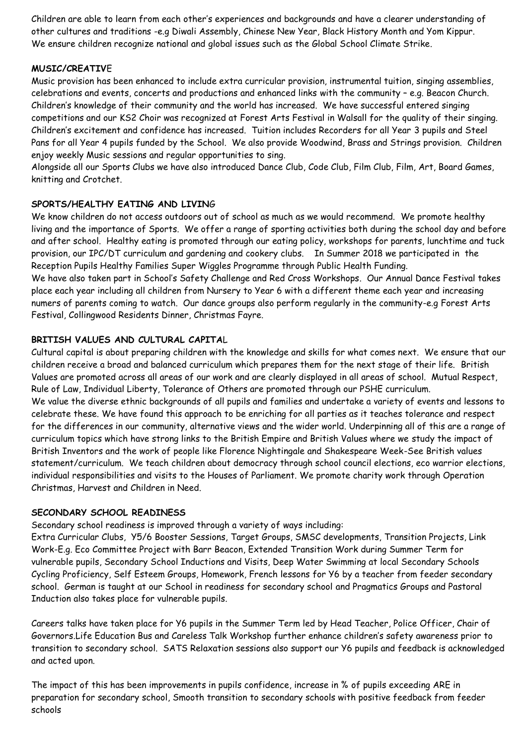Children are able to learn from each other's experiences and backgrounds and have a clearer understanding of other cultures and traditions -e.g Diwali Assembly, Chinese New Year, Black History Month and Yom Kippur. We ensure children recognize national and global issues such as the Global School Climate Strike.

## **MUSIC/CREATIV**E

Music provision has been enhanced to include extra curricular provision, instrumental tuition, singing assemblies, celebrations and events, concerts and productions and enhanced links with the community – e.g. Beacon Church. Children's knowledge of their community and the world has increased. We have successful entered singing competitions and our KS2 Choir was recognized at Forest Arts Festival in Walsall for the quality of their singing. Children's excitement and confidence has increased. Tuition includes Recorders for all Year 3 pupils and Steel Pans for all Year 4 pupils funded by the School. We also provide Woodwind, Brass and Strings provision. Children enjoy weekly Music sessions and regular opportunities to sing.

Alongside all our Sports Clubs we have also introduced Dance Club, Code Club, Film Club, Film, Art, Board Games, knitting and Crotchet.

# **SPORTS/HEALTHY EATING AND LIVIN**G

We know children do not access outdoors out of school as much as we would recommend. We promote healthy living and the importance of Sports. We offer a range of sporting activities both during the school day and before and after school. Healthy eating is promoted through our eating policy, workshops for parents, lunchtime and tuck provision, our IPC/DT curriculum and gardening and cookery clubs. In Summer 2018 we participated in the Reception Pupils Healthy Families Super Wiggles Programme through Public Health Funding.

We have also taken part in School's Safety Challenge and Red Cross Workshops. Our Annual Dance Festival takes place each year including all children from Nursery to Year 6 with a different theme each year and increasing numers of parents coming to watch. Our dance groups also perform regularly in the community-e.g Forest Arts Festival, Collingwood Residents Dinner, Christmas Fayre.

# **BRITISH VALUES AND CULTURAL CAPITA**L

Cultural capital is about preparing children with the knowledge and skills for what comes next. We ensure that our children receive a broad and balanced curriculum which prepares them for the next stage of their life. British Values are promoted across all areas of our work and are clearly displayed in all areas of school. Mutual Respect, Rule of Law, Individual Liberty, Tolerance of Others are promoted through our PSHE curriculum. We value the diverse ethnic backgrounds of all pupils and families and undertake a variety of events and lessons to celebrate these. We have found this approach to be enriching for all parties as it teaches tolerance and respect for the differences in our community, alternative views and the wider world. Underpinning all of this are a range of curriculum topics which have strong links to the British Empire and British Values where we study the impact of British Inventors and the work of people like Florence Nightingale and Shakespeare Week-See British values statement/curriculum. We teach children about democracy through school council elections, eco warrior elections, individual responsibilities and visits to the Houses of Parliament. We promote charity work through Operation Christmas, Harvest and Children in Need.

## **SECONDARY SCHOOL READINESS**

Secondary school readiness is improved through a variety of ways including:

Extra Curricular Clubs, Y5/6 Booster Sessions, Target Groups, SMSC developments, Transition Projects, Link Work-E.g. Eco Committee Project with Barr Beacon, Extended Transition Work during Summer Term for vulnerable pupils, Secondary School Inductions and Visits, Deep Water Swimming at local Secondary Schools Cycling Proficiency, Self Esteem Groups, Homework, French lessons for Y6 by a teacher from feeder secondary school. German is taught at our School in readiness for secondary school and Pragmatics Groups and Pastoral Induction also takes place for vulnerable pupils.

Careers talks have taken place for Y6 pupils in the Summer Term led by Head Teacher, Police Officer, Chair of Governors.Life Education Bus and Careless Talk Workshop further enhance children's safety awareness prior to transition to secondary school. SATS Relaxation sessions also support our Y6 pupils and feedback is acknowledged and acted upon.

The impact of this has been improvements in pupils confidence, increase in % of pupils exceeding ARE in preparation for secondary school, Smooth transition to secondary schools with positive feedback from feeder schools